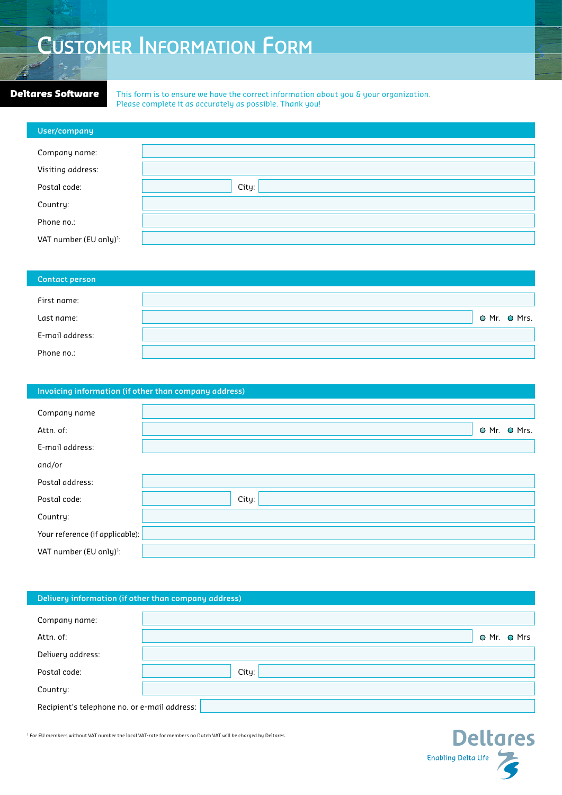# **Customer Information Form**

**Deltares Software** This form is to ensure we have the correct information about you & your organization. Please complete it as accurately as possible. Thank you!

| User/company                        |       |
|-------------------------------------|-------|
|                                     |       |
| Company name:                       |       |
| Visiting address:                   |       |
| Postal code:                        | City: |
| Country:                            |       |
| Phone no.:                          |       |
| VAT number (EU only) <sup>1</sup> : |       |

| Contact person  |  |              |
|-----------------|--|--------------|
| First name:     |  |              |
| Last name:      |  | O Mr. O Mrs. |
| E-mail address: |  |              |
| Phone no.:      |  |              |

| Invoicing information (if other than company address) |       |  |              |  |
|-------------------------------------------------------|-------|--|--------------|--|
| Company name                                          |       |  |              |  |
| Attn. of:                                             |       |  | O Mr. O Mrs. |  |
| E-mail address:                                       |       |  |              |  |
| and/or                                                |       |  |              |  |
| Postal address:                                       |       |  |              |  |
| Postal code:                                          | City: |  |              |  |
| Country:                                              |       |  |              |  |
| Your reference (if applicable):                       |       |  |              |  |
| VAT number (EU only) <sup>1</sup> :                   |       |  |              |  |

## **Delivery information (if other than company address)**

| Company name:                                |       |             |  |
|----------------------------------------------|-------|-------------|--|
| Attn. of:                                    |       | O Mr. O Mrs |  |
| Delivery address:                            |       |             |  |
| Postal code:                                 | City: |             |  |
| Country:                                     |       |             |  |
| Recipient's telephone no. or e-mail address: |       |             |  |

**Deltares** Enabling Delta Life

 $1$  For EU members without VAT number the local VAT-rate for members no Dutch VAT will be charged by Deltares.